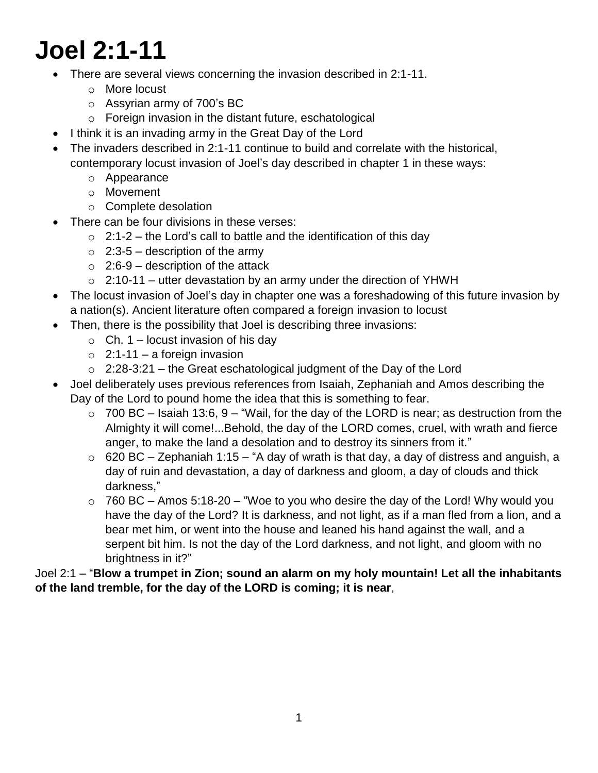# **Joel 2:1-11**

- There are several views concerning the invasion described in 2:1-11.
	- o More locust
	- o Assyrian army of 700's BC
	- o Foreign invasion in the distant future, eschatological
- I think it is an invading army in the Great Day of the Lord
- The invaders described in 2:1-11 continue to build and correlate with the historical, contemporary locust invasion of Joel's day described in chapter 1 in these ways:
	- o Appearance
	- o Movement
	- o Complete desolation
	- There can be four divisions in these verses:
		- $\circ$  2:1-2 the Lord's call to battle and the identification of this day
		- $\circ$  2:3-5 description of the army
		- $\circ$  2:6-9 description of the attack
		- $\circ$  2:10-11 utter devastation by an army under the direction of YHWH
- The locust invasion of Joel's day in chapter one was a foreshadowing of this future invasion by a nation(s). Ancient literature often compared a foreign invasion to locust
- Then, there is the possibility that Joel is describing three invasions:
	- $\circ$  Ch. 1 locust invasion of his dav
	- $\circ$  2:1-11 a foreign invasion
	- $\circ$  2:28-3:21 the Great eschatological judgment of the Day of the Lord
- Joel deliberately uses previous references from Isaiah, Zephaniah and Amos describing the Day of the Lord to pound home the idea that this is something to fear.
	- $\circ$  700 BC Isaiah 13:6, 9 "Wail, for the day of the LORD is near; as destruction from the Almighty it will come!...Behold, the day of the LORD comes, cruel, with wrath and fierce anger, to make the land a desolation and to destroy its sinners from it."
	- $\circ$  620 BC Zephaniah 1:15 "A day of wrath is that day, a day of distress and anguish, a day of ruin and devastation, a day of darkness and gloom, a day of clouds and thick darkness,"
	- $\circ$  760 BC Amos 5:18-20 "Woe to you who desire the day of the Lord! Why would you have the day of the Lord? It is darkness, and not light, as if a man fled from a lion, and a bear met him, or went into the house and leaned his hand against the wall, and a serpent bit him. Is not the day of the Lord darkness, and not light, and gloom with no brightness in it?"

# Joel 2:1 – "**Blow a trumpet in Zion; sound an alarm on my holy mountain! Let all the inhabitants of the land tremble, for the day of the LORD is coming; it is near**,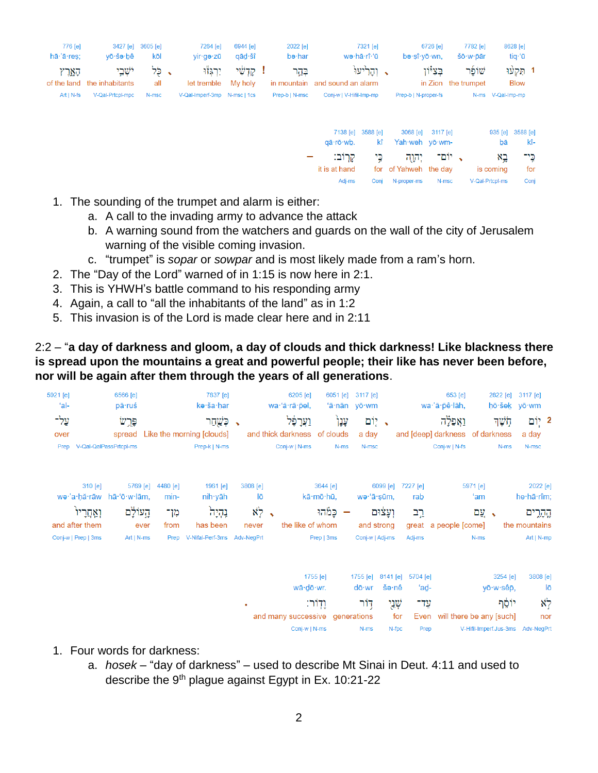| 776 [e]<br>$h\bar{a}$ $\cdot$ $\bar{a}$ $\cdot$ res; | vō∙šə∙bê                             | 3427 [e] 3605 [e]<br>kōl | 7264 [e]<br>vir∙qə∙zū        | 6944 [e]<br>qād∙šî | 2022 [e]<br>bə·har | 7321 [e]<br>wə·hā·rî·'ū                    | 6726 [e]<br>bə·sî·vō·wn. | 7782 <sub>[e]</sub><br>šō·w·ōār | 8628 [e]<br>tia·'ū       |
|------------------------------------------------------|--------------------------------------|--------------------------|------------------------------|--------------------|--------------------|--------------------------------------------|--------------------------|---------------------------------|--------------------------|
| הארץ                                                 | ישׁבי<br>of the land the inhabitants | י לִל<br>all             | ירגזוּ<br>let tremble        | קדשי<br>My holy    | בהר                | ג והריעו<br>in mountain and sound an alarm | בציון                    | שופר<br>in Zion the trumpet     | 1 הַקַעוּ<br><b>Blow</b> |
| $Art   N-fs $                                        | V-Qal-Prtcpl-mpc                     | N-msc                    | V-Qal-Imperf-3mp N-msc   1cs |                    | Prep-b   N-msc     | Conj-w   V-Hifil-Imp-mp                    | Prep-b   N-proper-fs     |                                 | N-ms V-Qal-Imp-mp        |

| 7138 [e]<br>qā∙rō∙wb.  | 3588 [e]<br>kî | 3068 [e]<br>Yah weh yō wm-                           | 3117 [e] | 935 [e]<br>bā   | 3588 [e]<br>kî- |
|------------------------|----------------|------------------------------------------------------|----------|-----------------|-----------------|
| קרוב:<br>it is at hand |                | <b>,</b> יוֹם־ יִהְוָה כֵּי<br>for of Yahweh the day |          | בא<br>is coming | כיד<br>for      |
| Adj-ms                 | Coni           | N-proper-ms                                          | N-msc    | V-Qal-Prtcpl-ms | Conj            |

- 1. The sounding of the trumpet and alarm is either:
	- a. A call to the invading army to advance the attack
	- b. A warning sound from the watchers and guards on the wall of the city of Jerusalem warning of the visible coming invasion.
	- c. "trumpet" is *sopar* or *sowpar* and is most likely made from a ram's horn.
- 2. The "Day of the Lord" warned of in 1:15 is now here in 2:1.
- 3. This is YHWH's battle command to his responding army
- 4. Again, a call to "all the inhabitants of the land" as in 1:2
- 5. This invasion is of the Lord is made clear here and in 2:11

#### 2:2 – "**a day of darkness and gloom, a day of clouds and thick darkness! Like blackness there is spread upon the mountains a great and powerful people; their like has never been before, nor will be again after them through the years of all generations**.

| 5921 [e]<br>$'al-$        | 6566 [e]<br>pā·ruś     |          | 7837 [e]<br>kə·ša·har            |          | 6205 [e]<br>wa·'ă·rā·p̄el,      |            | 6051 [e] 3117 [e]<br>'ā·nān yō·wm |          |                            | 653 [e]<br>wa∙'ă∙pê∙lāh, |                                 | 2822 [e] 3117 [e]<br>hō·šek yō·wm |
|---------------------------|------------------------|----------|----------------------------------|----------|---------------------------------|------------|-----------------------------------|----------|----------------------------|--------------------------|---------------------------------|-----------------------------------|
| עַל־                      | פּרֵש                  |          | כְּשֲׁחַר                        |          | וַעֲרָפֶּל                      | ֿעֲנָ∱     | ּיָ יֶוֹם                         |          |                            | ואַפִּלָה                | חְשֶׁךָ                         | 2 יְוֹם                           |
| over                      |                        |          | spread Like the morning [clouds] |          | and thick darkness of clouds    |            | a day                             |          |                            |                          | and [deep] darkness of darkness | a day                             |
| Prep                      | V-Qal-QalPassPrtcpl-ms |          | Prep-k   N-ms                    |          | Conj-w   N-ms                   | N-ms       | N-msc                             |          |                            | Conj-w   N-fs            | $N-ms$                          | N-msc                             |
| $310$ [e]                 | 5769 [e]               | 4480 [e] | 1961 [e]                         | 3808 [e] |                                 | 3644 [e]   |                                   | 6099 [e] | 7227 [e]                   |                          | 5971 [e]                        | 2022 [e]                          |
| we·'a·hă·rāw hā·'ō·w·lām, |                        | min-     | nih∙yāh                          | lō       |                                 | kā·mō·hū,  | wə·'ā·şūm,                        |          | rab                        |                          | ʻam                             | he hā rîm;                        |
| ואַחַרִיוֹ                | הָעוֹלָם               | מך-      | נְהָיָה                          |          | $\aleph_7$ .                    | פַמֿהוּ    |                                   | ועצום    | ֲרָב                       |                          | י עֲם                           | קֶהָרֶים                          |
| and after them            | ever                   | from     | has been                         | never    | the like of whom                |            | and strong                        |          |                            | great a people [come]    |                                 | the mountains                     |
| Conj-w   Prep   3ms       | Art   N-ms             |          | Prep V-Nifal-Perf-3ms Adv-NegPrt |          |                                 | Prep   3ms | Conj-w   Adj-ms                   |          | Adj-ms                     |                          | N-ms                            | Art   N-mp                        |
|                           |                        |          |                                  |          |                                 | 1755 [e]   |                                   |          | 1755 [e] 8141 [e] 5704 [e] |                          | 3254 [e]                        | 3808 [e]                          |
|                           |                        |          |                                  |          | wā·dō·wr.                       |            | dō∙wr                             | šə∙nê    | 'ad-                       |                          | yō·w·sêp,                       | lō                                |
|                           |                        |          |                                  | ٠        |                                 | וַדְוֹר:   | דור                               | שְׁנֵי   | עד־                        |                          | יוֹסֵף                          | $\aleph_7$                        |
|                           |                        |          |                                  |          | and many successive generations |            |                                   | for      |                            |                          | Even will there be any [such]   | nor                               |
|                           |                        |          |                                  |          | Conj-w   N-ms                   |            | N-ms                              | N-fpc    | Prep                       |                          |                                 | V-Hifil-Imperf.Jus-3ms Adv-NegPrt |

- 1. Four words for darkness:
	- a. *hosek* "day of darkness" used to describe Mt Sinai in Deut. 4:11 and used to describe the 9th plague against Egypt in Ex. 10:21-22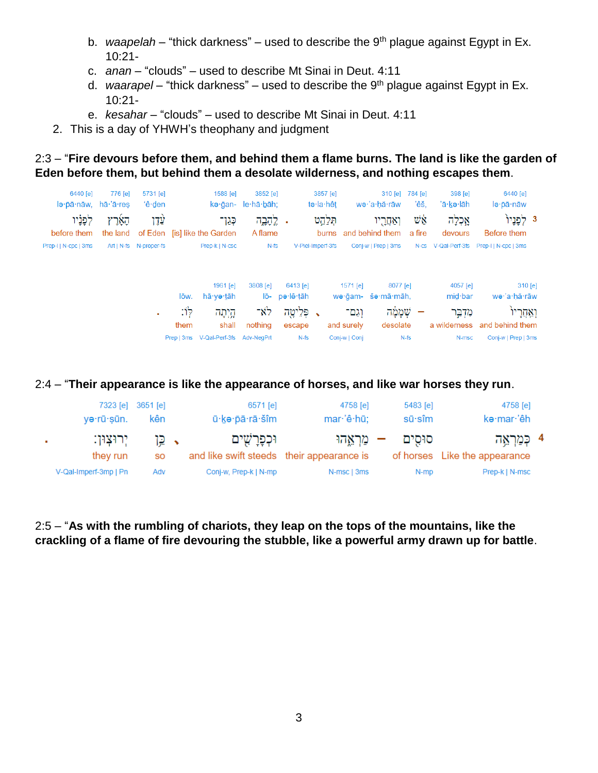- b. *waapelah* "thick darkness" used to describe the 9<sup>th</sup> plague against Egypt in Ex. 10:21-
- c. *anan* "clouds" used to describe Mt Sinai in Deut. 4:11
- d. *waarapel* "thick darkness" used to describe the 9th plague against Egypt in Ex. 10:21-
- e. *kesahar* "clouds" used to describe Mt Sinai in Deut. 4:11
- 2. This is a day of YHWH's theophany and judgment

# 2:3 – "**Fire devours before them, and behind them a flame burns. The land is like the garden of Eden before them, but behind them a desolate wilderness, and nothing escapes them**.

|           | 6440 [e]                             | 398 [e]             | 784 [e]      | $310$ [e]                          |               | 3857 [e]          |           | 3852 [e]           | 1588 [e]                                |      | 5731 [e]                  | 776 [e]             | 6440 [e]                                                                                                                                                                                                                                                                                                                                                                                                |
|-----------|--------------------------------------|---------------------|--------------|------------------------------------|---------------|-------------------|-----------|--------------------|-----------------------------------------|------|---------------------------|---------------------|---------------------------------------------------------------------------------------------------------------------------------------------------------------------------------------------------------------------------------------------------------------------------------------------------------------------------------------------------------------------------------------------------------|
|           | lə · pā · nāw                        | 'ā∙kə∙lāh           | 'êš.         | wə·'a·hă·rāw                       |               | te·la·hêt         |           | kə·ğan- le·hā·bāh; |                                         |      | 'ê·den                    |                     | $\overline{a}$ $\overline{pa}$ $\overline{na}$ $\overline{a}$ $\overline{a}$ $\overline{a}$ $\overline{a}$ $\overline{ra}$ $\overline{ra}$ $\overline{ra}$ $\overline{ra}$ $\overline{ra}$ $\overline{ra}$ $\overline{ra}$ $\overline{ra}$ $\overline{ra}$ $\overline{ra}$ $\overline{ra}$ $\overline{ra}$ $\overline{ra}$ $\overline{ra}$ $\overline{ra}$ $\overline{ra}$ $\overline{ra}$ $\overline{$ |
|           | 3 לִפניו <sup>י</sup><br>Before them | אֲכְלָה<br>devours  | Ψġ<br>a fire | ואַחֲרָיו<br>burns and behind them |               | תִּלְהָט          |           | לֲהָבֶה<br>A flame | כְּגַן־<br>of Eden [is] like the Garden |      | עָדֶן                     | הָאָרֶץ<br>the land | לפניו<br>before them                                                                                                                                                                                                                                                                                                                                                                                    |
|           | Prep-IIN-cpc   3ms                   | N-cs V-Qal-Perf-3fs |              | Conj-w   Prep   3ms                |               | V-Piel-Imperf-3fs |           | $N-fs$             | Prep-k   N-csc                          |      | Art   N-fs    N-proper-fs |                     | Prep-I   N-cpc   3ms                                                                                                                                                                                                                                                                                                                                                                                    |
|           |                                      |                     |              |                                    |               |                   |           |                    |                                         |      |                           |                     |                                                                                                                                                                                                                                                                                                                                                                                                         |
| $310$ [e] |                                      | 4057 [e]            |              | 8077 [e]                           | 1571 [e]      |                   | 6413 [e]  | 3808 [e]           | 1961 [e]                                |      |                           |                     |                                                                                                                                                                                                                                                                                                                                                                                                         |
|           | wə·'a·hă·rāw                         | mid·bar             |              | wə ğam- šə mā māh,                 |               |                   | pe·lê·tāh | lō-                | hā∙yə∙tāh                               | lōw. |                           |                     |                                                                                                                                                                                                                                                                                                                                                                                                         |
|           | וְאַחֲרָיוֹ                          | מִדְבֵּר            |              | שְׁמָמַּה                          | וגם־          |                   | פִּלֵיטָה | לא־                | הָיְתָה                                 | לו:  | $\mathbf{m}$              |                     |                                                                                                                                                                                                                                                                                                                                                                                                         |
|           | and behind them                      | a wilderness        |              | desolate                           | and surely    |                   | escape    | nothing            | shall                                   | them |                           |                     |                                                                                                                                                                                                                                                                                                                                                                                                         |
|           | Conj-w   Prep   3ms                  | N-msc               |              | $N-fs$                             | Conj-w   Conj |                   | $N-fs$    | Adv-NegPrt         | Prep   3ms V-Qal-Perf-3fs               |      |                           |                     |                                                                                                                                                                                                                                                                                                                                                                                                         |

#### 2:4 – "**Their appearance is like the appearance of horses, and like war horses they run**.

| 4758 [e]                      | 5483 [e]       | 4758 [e]    | 6571 [e]                                  | 7323 [e] 3651 [e] |                       |   |
|-------------------------------|----------------|-------------|-------------------------------------------|-------------------|-----------------------|---|
| kə·mar·'êh                    | $s\bar{u}$ sîm | mar·'ê·hū;  | ū·kə·pā·rā·šîm                            | kên               | yə·rū·sūn.            |   |
| 4 כִּמַרְאֵה                  | סוּסים         | מראהו       | וּכִפָּרַשִׁים                            | י ⊊ן              | יִרוּצִוּן:           | ٠ |
| of horses Like the appearance |                |             | and like swift steeds their appearance is | <b>SO</b>         | they run              |   |
| Prep-k   N-msc                | N-mp           | N-msc   3ms | Conj-w, Prep-k   N-mp                     | Adv               | V-Qal-Imperf-3mp   Pn |   |

2:5 – "**As with the rumbling of chariots, they leap on the tops of the mountains, like the crackling of a flame of fire devouring the stubble, like a powerful army drawn up for battle**.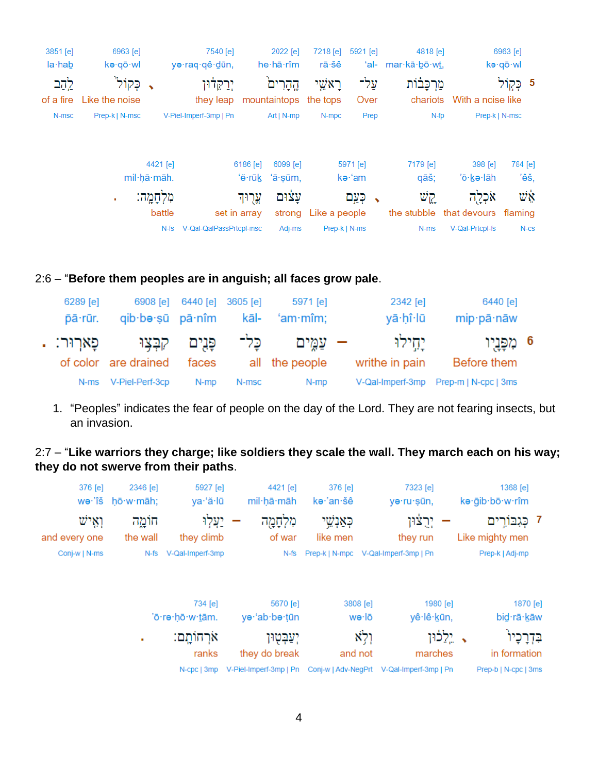|      | 6963 [e]   |                      | 4818 [e]                                   |      | 7218 [e]<br>5921 [e] | 2022 [e]                   |              | 7540 [e]                | 3851 [e]<br>6963 [e]    |                         |                |
|------|------------|----------------------|--------------------------------------------|------|----------------------|----------------------------|--------------|-------------------------|-------------------------|-------------------------|----------------|
|      | kə·qō·wl   |                      | 'al- mar $\cdot$ kā $\cdot$ bō $\cdot$ wt. |      | rā∙šê                | he hā rîm                  |              | yə·raq·qê·dūn,          |                         | kə∙qō∙wl                | $la \cdot hab$ |
|      | 5 כְּקְוֹל |                      | מַרִכַּבוֹת                                | על־  | ּרָאֹשֱי             | הֱהָרִים                   |              | יִרַקֵּדֹּוּן           |                         | כַקוֹל"                 | לֲהַב          |
|      |            | With a noise like    | chariots                                   | Over |                      | mountaintops the tops      |              | they leap               |                         | Like the noise          | of a fire      |
|      |            | Prep-k   N-msc       | $N$ -fp                                    | Prep | N-mpc                | Art   $N$ -mp              |              | V-Piel-Imperf-3mp   Pn  |                         | N-msc<br>Prep-k   N-msc |                |
| 'êš, | 784 [e]    | 398 [e]<br>'ō∙kə∙lāh | 7179 [e]<br>qāš;                           |      | 5971 [e]<br>kə·'am   | 6099 [e]<br>'ě·rūk 'ā·sūm, | 6186 [e]     |                         | 4421 [e]<br>mil·hā·māh. |                         |                |
| Ψġ   |            | אכלה                 | קֱשׁ                                       |      | כִּעַם               | עצֿוּם                     | עֵרוּד       |                         | מִלְחָמֶה:              | ٠                       |                |
|      | flaming    |                      | the stubble that devours                   |      | strong Like a people |                            | set in array |                         | battle                  |                         |                |
| N-CS |            | V-Qal-Prtcpl-fs      | N-ms                                       |      | Prep-k   N-ms        | Adj-ms                     |              | V-Qal-QalPassPrtcpl-msc | N-fs                    |                         |                |
|      |            |                      |                                            |      |                      |                            |              |                         |                         |                         |                |

#### 2:6 – "**Before them peoples are in anguish; all faces grow pale**.

| 6289 [e]<br>pā·rūr. |                                           | 6908 [e] 6440 [e] 3605 [e] |       | 5971 [e]<br>gib be sū pā nîm kāl- 'am mîm; | 2342 [e]<br>yā·hî·lū    | 6440 [e]<br>mip·pā·nāw      |  |
|---------------------|-------------------------------------------|----------------------------|-------|--------------------------------------------|-------------------------|-----------------------------|--|
| . פַארוּר:          | פָּנִים קִבְּצִוּ<br>of color are drained | faces                      | כֵּל־ | – עמים<br>all the people                   | יחילו<br>writhe in pain | 6 מִפְּנֵיִו<br>Before them |  |
| N-ms                | V-Piel-Perf-3cp                           | N-mp                       | N-msc | N-mp                                       | V-Qal-Imperf-3mp        | Prep-m   N-cpc   3ms        |  |

1. "Peoples" indicates the fear of people on the day of the Lord. They are not fearing insects, but an invasion.

#### 2:7 – "**Like warriors they charge; like soldiers they scale the wall. They march each on his way; they do not swerve from their paths**.

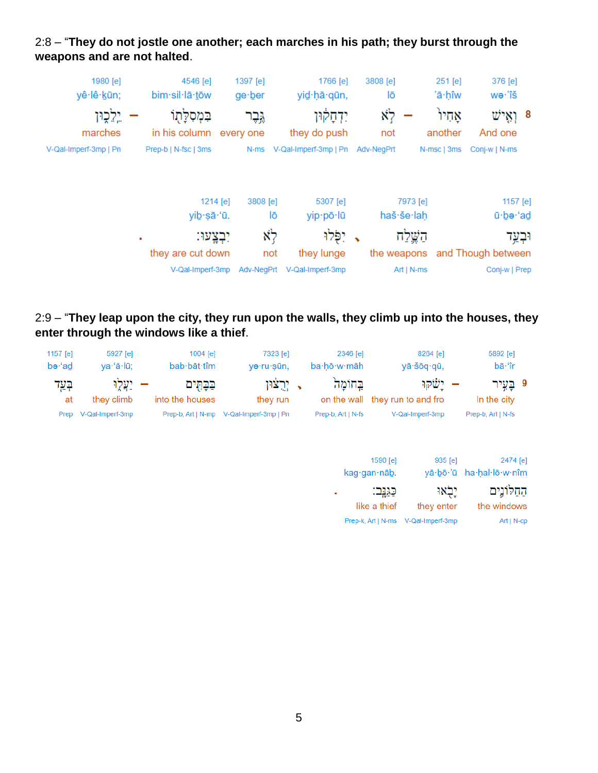

# 2:8 – "**They do not jostle one another; each marches in his path; they burst through the weapons and are not halted**.

# 2:9 – "**They leap upon the city, they run upon the walls, they climb up into the houses, they enter through the windows like a thief**.

| 5892 [e]<br>bā·'îr                   |         | 8264 [e]<br>yā šōq qū, |                            | 2346 [e]<br>ba·hō·w·māh                  | 7323 [e]<br>yə·ru·sūn,                   | 1004 [e]<br>bab bāt tîm       | 5927 [e]<br>ya·'ă·lū;  | 1157 $[e]$<br>be·'ad |
|--------------------------------------|---------|------------------------|----------------------------|------------------------------------------|------------------------------------------|-------------------------------|------------------------|----------------------|
| 9 בֲעֲיר<br>In the city              |         | ישׂקו                  |                            | בחומה<br>on the wall they run to and fro | יִרְצֹוּן<br>they run                    | בַּבָּהָים<br>into the houses | יַצְלֵוּ<br>they climb | הָעֲד<br>at          |
| Prep-b, Art   N-fs                   |         | V-Qal-Imperf-3mp       |                            | Prep-b, Art   N-fs                       | Prep-b, Art   N-mp V-Qal-Imperf-3mp   Pn |                               | V-Qal-Imperf-3mp       | Prep                 |
| 2474 [e]<br>yā·bō·'ū ha·hal·lō·w·nîm |         | $935$ [e]              | 1590 [e]<br>kag·gan·nāb.   |                                          |                                          |                               |                        |                      |
| החלונים<br>the windows               | יִלְאוּ | they enter             | כַּגַּנְב:<br>like a thief | ш                                        |                                          |                               |                        |                      |

Prep-k, Art | N-ms V-Qal-Imperf-3mp

Art | N-cp